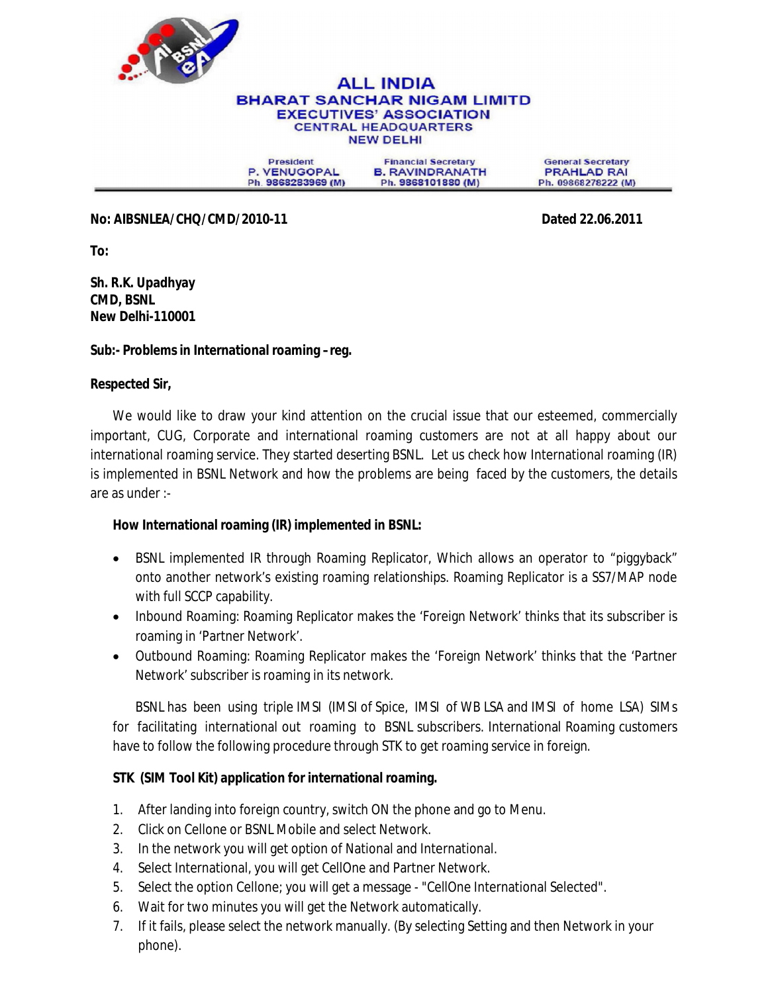

#### **ALL INDIA BHARAT SANCHAR NIGAM LIMITD EXECUTIVES' ASSOCIATION CENTRAL HEADQUARTERS NEW DELHI**

**President** P. VENUGOPAL Ph. 9868283969 (M)

**Financial Secretary B. RAVINDRANATH** Ph. 9868101880 (M)

**General Secretary PRAHLAD RAI** Ph. 09868278222 (M)

**No: AIBSNLEA/CHQ/CMD/2010-11 Dated 22.06.2011**

**To:**

**Sh. R.K. Upadhyay CMD, BSNL New Delhi-110001**

## **Sub:- Problems in International roaming –reg.**

#### **Respected Sir,**

We would like to draw your kind attention on the crucial issue that our esteemed, commercially important, CUG, Corporate and international roaming customers are not at all happy about our international roaming service. They started deserting BSNL. Let us check how International roaming (IR) is implemented in BSNL Network and how the problems are being faced by the customers, the details are as under :-

## **How International roaming (IR) implemented in BSNL:**

- BSNL implemented IR through Roaming Replicator, Which allows an operator to "piggyback" onto another network's existing roaming relationships. Roaming Replicator is a SS7/MAP node with full SCCP capability.
- Inbound Roaming: Roaming Replicator makes the 'Foreign Network' thinks that its subscriber is roaming in 'Partner Network'.
- Outbound Roaming: Roaming Replicator makes the 'Foreign Network' thinks that the 'Partner Network' subscriber is roaming in its network.

BSNL has been using triple IMSI (IMSI of Spice, IMSI of WB LSA and IMSI of home LSA) SIMs for facilitating international out roaming to BSNL subscribers. International Roaming customers have to follow the following procedure through STK to get roaming service in foreign.

## **STK (SIM Tool Kit) application for international roaming.**

- 1. After landing into foreign country, switch ON the phone and go to Menu.
- 2. Click on Cellone or BSNL Mobile and select Network.
- 3. In the network you will get option of National and International.
- 4. Select International, you will get CellOne and Partner Network.
- 5. Select the option Cellone; you will get a message "CellOne International Selected".
- 6. Wait for two minutes you will get the Network automatically.
- 7. If it fails, please select the network manually. (By selecting Setting and then Network in your phone).